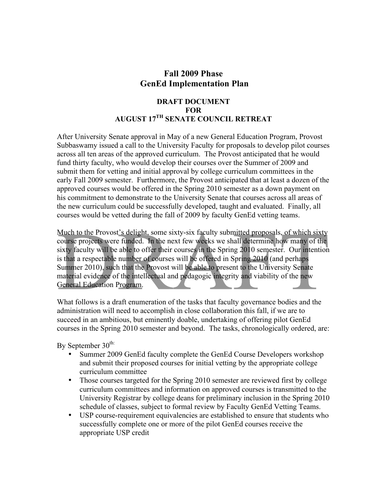## **Fall 2009 Phase GenEd Implementation Plan**

## **DRAFT DOCUMENT FOR AUGUST 17TH SENATE COUNCIL RETREAT**

After University Senate approval in May of a new General Education Program, Provost Subbaswamy issued a call to the University Faculty for proposals to develop pilot courses across all ten areas of the approved curriculum. The Provost anticipated that he would fund thirty faculty, who would develop their courses over the Summer of 2009 and submit them for vetting and initial approval by college curriculum committees in the early Fall 2009 semester. Furthermore, the Provost anticipated that at least a dozen of the approved courses would be offered in the Spring 2010 semester as a down payment on his commitment to demonstrate to the University Senate that courses across all areas of the new curriculum could be successfully developed, taught and evaluated. Finally, all courses would be vetted during the fall of 2009 by faculty GenEd vetting teams.

Much to the Provost's delight, some sixty-six faculty submitted proposals, of which sixty course projects were funded. In the next few weeks we shall determine how many of the sixty faculty will be able to offer their courses in the Spring 2010 semester. Our intention is that a respectable number of courses will be offered in Spring 2010 (and perhaps Summer 2010), such that the Provost will be able to present to the University Senate material evidence of the intellectual and pedagogic integrity and viability of the new General Education Program.

What follows is a draft enumeration of the tasks that faculty governance bodies and the administration will need to accomplish in close collaboration this fall, if we are to succeed in an ambitious, but eminently doable, undertaking of offering pilot GenEd courses in the Spring 2010 semester and beyond. The tasks, chronologically ordered, are:

By September  $30^{\text{th}}$ :

- Summer 2009 GenEd faculty complete the GenEd Course Developers workshop and submit their proposed courses for initial vetting by the appropriate college curriculum committee
- Those courses targeted for the Spring 2010 semester are reviewed first by college curriculum committees and information on approved courses is transmitted to the University Registrar by college deans for preliminary inclusion in the Spring 2010 schedule of classes, subject to formal review by Faculty GenEd Vetting Teams.
- USP course-requirement equivalencies are established to ensure that students who successfully complete one or more of the pilot GenEd courses receive the appropriate USP credit